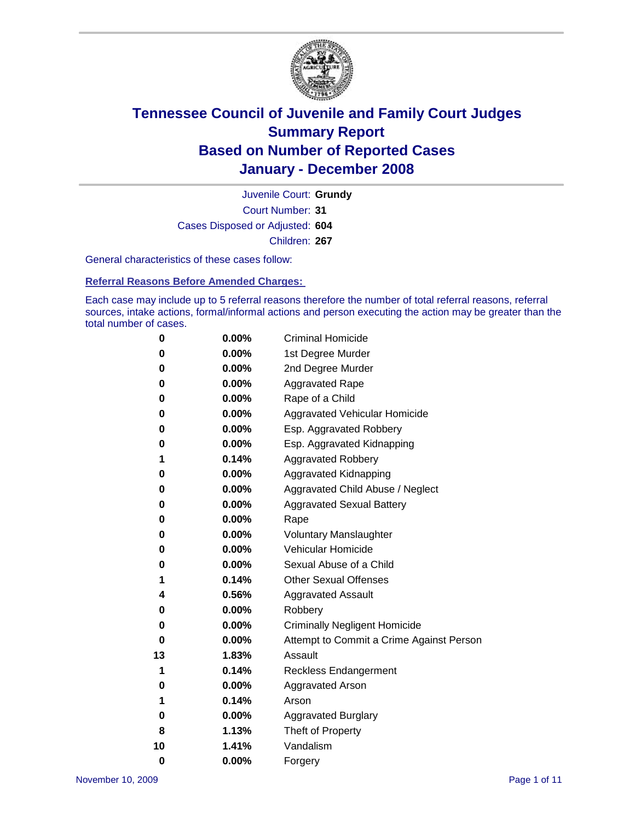

Court Number: **31** Juvenile Court: **Grundy** Cases Disposed or Adjusted: **604** Children: **267**

General characteristics of these cases follow:

**Referral Reasons Before Amended Charges:** 

Each case may include up to 5 referral reasons therefore the number of total referral reasons, referral sources, intake actions, formal/informal actions and person executing the action may be greater than the total number of cases.

| 0        | 0.00%    | <b>Criminal Homicide</b>                 |  |  |  |
|----------|----------|------------------------------------------|--|--|--|
| 0        | 0.00%    | 1st Degree Murder                        |  |  |  |
| 0        | 0.00%    | 2nd Degree Murder                        |  |  |  |
| 0        | 0.00%    | <b>Aggravated Rape</b>                   |  |  |  |
| 0        | 0.00%    | Rape of a Child                          |  |  |  |
| 0        | 0.00%    | Aggravated Vehicular Homicide            |  |  |  |
| 0        | 0.00%    | Esp. Aggravated Robbery                  |  |  |  |
| 0        | 0.00%    | Esp. Aggravated Kidnapping               |  |  |  |
| 1        | 0.14%    | <b>Aggravated Robbery</b>                |  |  |  |
| 0        | 0.00%    | Aggravated Kidnapping                    |  |  |  |
| 0        | 0.00%    | Aggravated Child Abuse / Neglect         |  |  |  |
| 0        | 0.00%    | <b>Aggravated Sexual Battery</b>         |  |  |  |
| 0        | 0.00%    | Rape                                     |  |  |  |
| 0        | 0.00%    | <b>Voluntary Manslaughter</b>            |  |  |  |
| 0        | 0.00%    | Vehicular Homicide                       |  |  |  |
| 0        | $0.00\%$ | Sexual Abuse of a Child                  |  |  |  |
| 1        | 0.14%    | <b>Other Sexual Offenses</b>             |  |  |  |
| 4        | 0.56%    | <b>Aggravated Assault</b>                |  |  |  |
| 0        | 0.00%    | Robbery                                  |  |  |  |
| 0        | $0.00\%$ | <b>Criminally Negligent Homicide</b>     |  |  |  |
| 0        | 0.00%    | Attempt to Commit a Crime Against Person |  |  |  |
| 13       | 1.83%    | Assault                                  |  |  |  |
| 1        | 0.14%    | <b>Reckless Endangerment</b>             |  |  |  |
| 0        | $0.00\%$ | <b>Aggravated Arson</b>                  |  |  |  |
| 1        | 0.14%    | Arson                                    |  |  |  |
| 0        | 0.00%    | <b>Aggravated Burglary</b>               |  |  |  |
| 8        | 1.13%    | Theft of Property                        |  |  |  |
| 10       | 1.41%    | Vandalism                                |  |  |  |
| $\bf{0}$ | 0.00%    | Forgery                                  |  |  |  |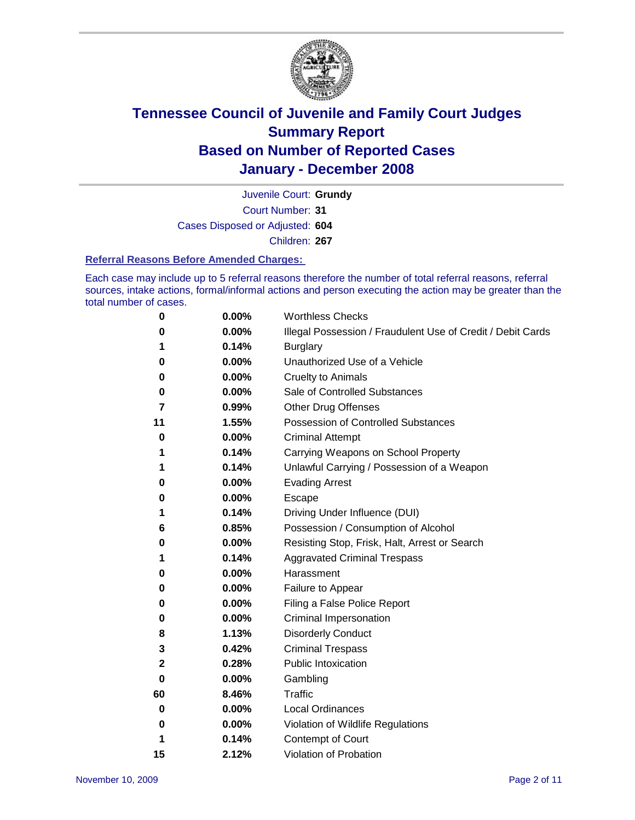

Court Number: **31** Juvenile Court: **Grundy** Cases Disposed or Adjusted: **604** Children: **267**

#### **Referral Reasons Before Amended Charges:**

Each case may include up to 5 referral reasons therefore the number of total referral reasons, referral sources, intake actions, formal/informal actions and person executing the action may be greater than the total number of cases.

| 0  | 0.00%    | <b>Worthless Checks</b>                                     |
|----|----------|-------------------------------------------------------------|
| 0  | 0.00%    | Illegal Possession / Fraudulent Use of Credit / Debit Cards |
| 1  | 0.14%    | <b>Burglary</b>                                             |
| 0  | $0.00\%$ | Unauthorized Use of a Vehicle                               |
| 0  | 0.00%    | <b>Cruelty to Animals</b>                                   |
| 0  | 0.00%    | Sale of Controlled Substances                               |
| 7  | 0.99%    | <b>Other Drug Offenses</b>                                  |
| 11 | 1.55%    | <b>Possession of Controlled Substances</b>                  |
| 0  | $0.00\%$ | <b>Criminal Attempt</b>                                     |
| 1  | 0.14%    | Carrying Weapons on School Property                         |
| 1  | 0.14%    | Unlawful Carrying / Possession of a Weapon                  |
| 0  | 0.00%    | <b>Evading Arrest</b>                                       |
| 0  | 0.00%    | Escape                                                      |
| 1  | 0.14%    | Driving Under Influence (DUI)                               |
| 6  | 0.85%    | Possession / Consumption of Alcohol                         |
| 0  | 0.00%    | Resisting Stop, Frisk, Halt, Arrest or Search               |
| 1  | 0.14%    | <b>Aggravated Criminal Trespass</b>                         |
| 0  | 0.00%    | Harassment                                                  |
| 0  | 0.00%    | Failure to Appear                                           |
| 0  | 0.00%    | Filing a False Police Report                                |
| 0  | 0.00%    | Criminal Impersonation                                      |
| 8  | 1.13%    | <b>Disorderly Conduct</b>                                   |
| 3  | 0.42%    | <b>Criminal Trespass</b>                                    |
| 2  | 0.28%    | <b>Public Intoxication</b>                                  |
| 0  | $0.00\%$ | Gambling                                                    |
| 60 | 8.46%    | <b>Traffic</b>                                              |
| 0  | 0.00%    | Local Ordinances                                            |
| 0  | 0.00%    | Violation of Wildlife Regulations                           |
| 1  | 0.14%    | Contempt of Court                                           |
| 15 | 2.12%    | Violation of Probation                                      |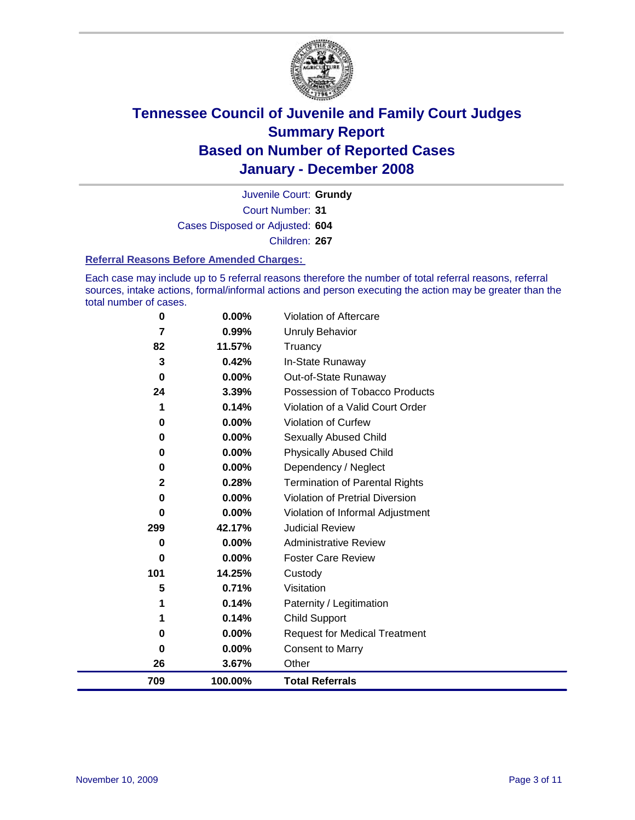

Court Number: **31** Juvenile Court: **Grundy** Cases Disposed or Adjusted: **604** Children: **267**

#### **Referral Reasons Before Amended Charges:**

Each case may include up to 5 referral reasons therefore the number of total referral reasons, referral sources, intake actions, formal/informal actions and person executing the action may be greater than the total number of cases.

| 0            | 0.00%    | Violation of Aftercare                 |
|--------------|----------|----------------------------------------|
| 7            | 0.99%    | <b>Unruly Behavior</b>                 |
| 82           | 11.57%   | Truancy                                |
| 3            | 0.42%    | In-State Runaway                       |
| 0            | $0.00\%$ | Out-of-State Runaway                   |
| 24           | 3.39%    | Possession of Tobacco Products         |
| 1            | 0.14%    | Violation of a Valid Court Order       |
| 0            | 0.00%    | Violation of Curfew                    |
| 0            | $0.00\%$ | Sexually Abused Child                  |
| 0            | $0.00\%$ | <b>Physically Abused Child</b>         |
| 0            | $0.00\%$ | Dependency / Neglect                   |
| $\mathbf{2}$ | 0.28%    | <b>Termination of Parental Rights</b>  |
| 0            | $0.00\%$ | <b>Violation of Pretrial Diversion</b> |
| 0            | $0.00\%$ | Violation of Informal Adjustment       |
| 299          | 42.17%   | <b>Judicial Review</b>                 |
| 0            | $0.00\%$ | <b>Administrative Review</b>           |
| 0            | $0.00\%$ | <b>Foster Care Review</b>              |
| 101          | 14.25%   | Custody                                |
| 5            | 0.71%    | Visitation                             |
| 1            | 0.14%    | Paternity / Legitimation               |
| 1            | 0.14%    | <b>Child Support</b>                   |
| 0            | 0.00%    | <b>Request for Medical Treatment</b>   |
| 0            | 0.00%    | <b>Consent to Marry</b>                |
| 26           | 3.67%    | Other                                  |
| 709          | 100.00%  | <b>Total Referrals</b>                 |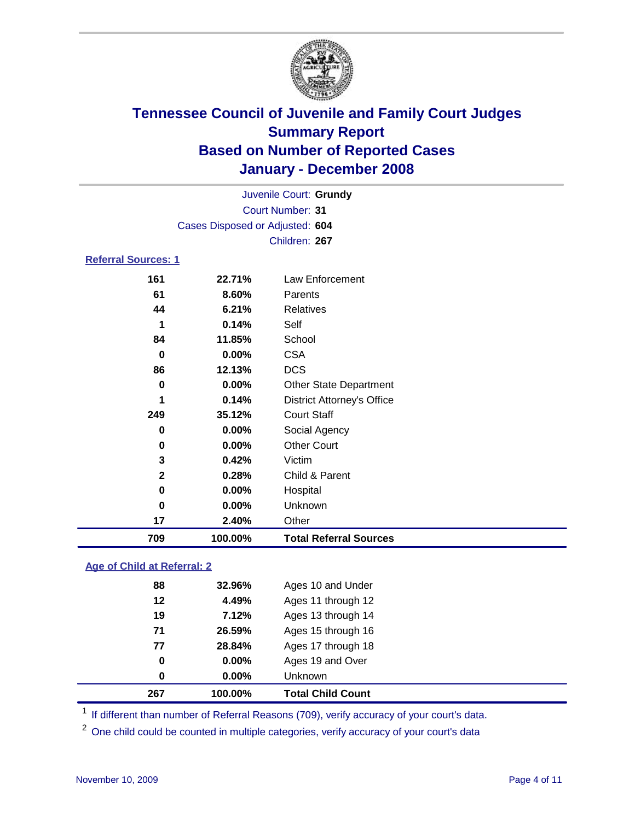

|                                 | Juvenile Court: Grundy  |                                   |  |  |  |  |
|---------------------------------|-------------------------|-----------------------------------|--|--|--|--|
|                                 | <b>Court Number: 31</b> |                                   |  |  |  |  |
| Cases Disposed or Adjusted: 604 |                         |                                   |  |  |  |  |
|                                 | Children: 267           |                                   |  |  |  |  |
| <b>Referral Sources: 1</b>      |                         |                                   |  |  |  |  |
| 161                             | 22.71%                  | Law Enforcement                   |  |  |  |  |
| 61                              | 8.60%                   | Parents                           |  |  |  |  |
| 44                              | 6.21%                   | <b>Relatives</b>                  |  |  |  |  |
| 1                               | 0.14%                   | Self                              |  |  |  |  |
| 84                              | 11.85%                  | School                            |  |  |  |  |
| 0                               | 0.00%                   | <b>CSA</b>                        |  |  |  |  |
| 86                              | 12.13%                  | <b>DCS</b>                        |  |  |  |  |
| 0                               | $0.00\%$                | <b>Other State Department</b>     |  |  |  |  |
| 1                               | 0.14%                   | <b>District Attorney's Office</b> |  |  |  |  |
| 249                             | 35.12%                  | <b>Court Staff</b>                |  |  |  |  |
| 0                               | 0.00%                   | Social Agency                     |  |  |  |  |
| 0                               | 0.00%                   | <b>Other Court</b>                |  |  |  |  |
| 3                               | 0.42%                   | Victim                            |  |  |  |  |
| $\mathbf 2$                     | 0.28%                   | Child & Parent                    |  |  |  |  |
| 0                               | 0.00%                   | Hospital                          |  |  |  |  |
| $\bf{0}$                        | 0.00%                   | Unknown                           |  |  |  |  |
| 17                              | 2.40%                   | Other                             |  |  |  |  |
| 709                             | 100.00%                 | <b>Total Referral Sources</b>     |  |  |  |  |

#### **Age of Child at Referral: 2**

| 267         | 100.00% | <b>Total Child Count</b> |
|-------------|---------|--------------------------|
| $\mathbf 0$ | 0.00%   | <b>Unknown</b>           |
| 0           | 0.00%   | Ages 19 and Over         |
| 77          | 28.84%  | Ages 17 through 18       |
| 71          | 26.59%  | Ages 15 through 16       |
| 19          | 7.12%   | Ages 13 through 14       |
| 12          | 4.49%   | Ages 11 through 12       |
| 88          | 32.96%  | Ages 10 and Under        |

<sup>1</sup> If different than number of Referral Reasons (709), verify accuracy of your court's data.

<sup>2</sup> One child could be counted in multiple categories, verify accuracy of your court's data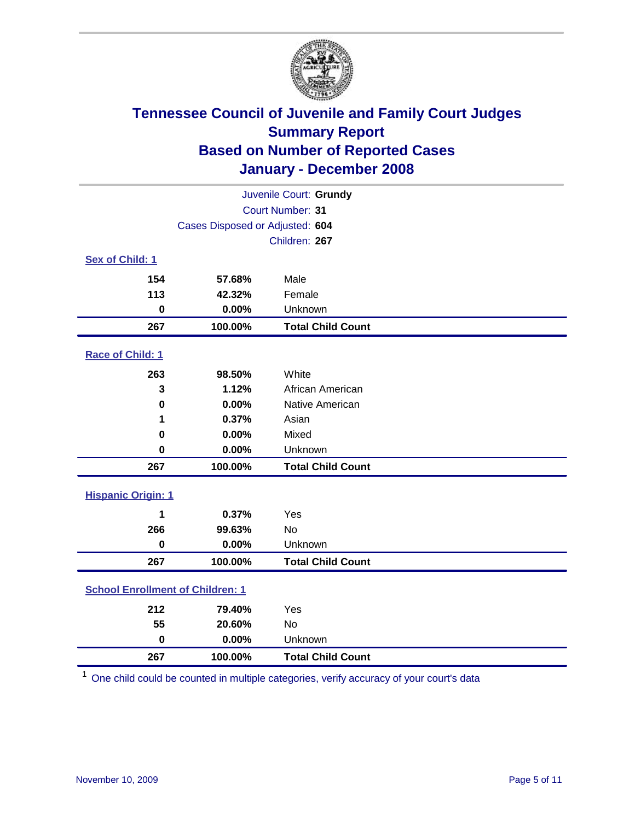

| Juvenile Court: Grundy                  |                                 |                          |  |  |  |
|-----------------------------------------|---------------------------------|--------------------------|--|--|--|
| Court Number: 31                        |                                 |                          |  |  |  |
|                                         | Cases Disposed or Adjusted: 604 |                          |  |  |  |
|                                         |                                 | Children: 267            |  |  |  |
| Sex of Child: 1                         |                                 |                          |  |  |  |
| 154                                     | 57.68%                          | Male                     |  |  |  |
| 113                                     | 42.32%                          | Female                   |  |  |  |
| $\bf{0}$                                | 0.00%                           | Unknown                  |  |  |  |
| 267                                     | 100.00%                         | <b>Total Child Count</b> |  |  |  |
| Race of Child: 1                        |                                 |                          |  |  |  |
| 263                                     | 98.50%                          | White                    |  |  |  |
| 3                                       | 1.12%                           | African American         |  |  |  |
| $\bf{0}$                                | 0.00%                           | Native American          |  |  |  |
| 1                                       | 0.37%                           | Asian                    |  |  |  |
| 0                                       | 0.00%                           | Mixed                    |  |  |  |
| $\bf{0}$                                | 0.00%                           | Unknown                  |  |  |  |
| 267                                     | 100.00%                         | <b>Total Child Count</b> |  |  |  |
| <b>Hispanic Origin: 1</b>               |                                 |                          |  |  |  |
| 1                                       | 0.37%                           | Yes                      |  |  |  |
| 266                                     | 99.63%                          | <b>No</b>                |  |  |  |
| $\mathbf 0$                             | 0.00%                           | Unknown                  |  |  |  |
| 267                                     | 100.00%                         | <b>Total Child Count</b> |  |  |  |
| <b>School Enrollment of Children: 1</b> |                                 |                          |  |  |  |
| 212                                     | 79.40%                          | Yes                      |  |  |  |
| 55                                      | 20.60%                          | No                       |  |  |  |
| $\mathbf 0$                             | 0.00%                           | Unknown                  |  |  |  |
| 267                                     | 100.00%                         | <b>Total Child Count</b> |  |  |  |

One child could be counted in multiple categories, verify accuracy of your court's data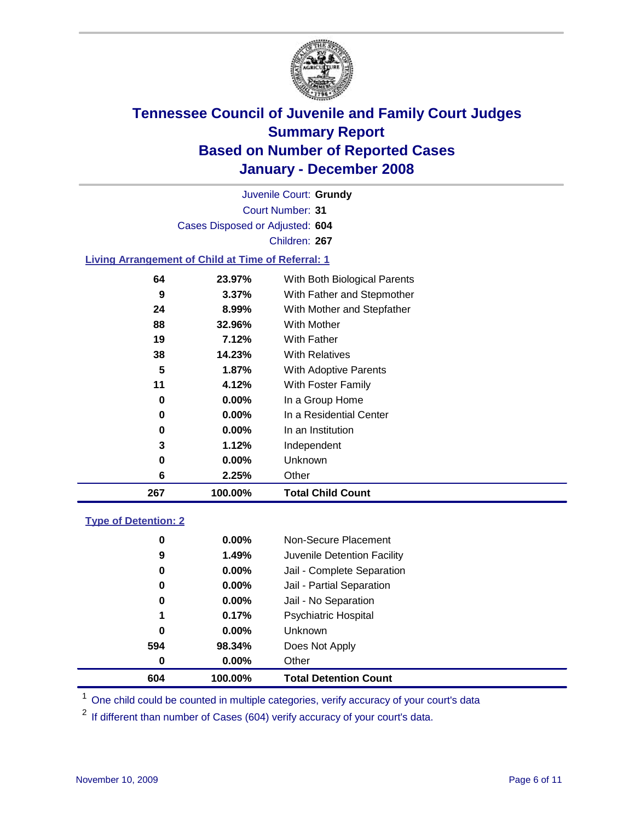

Court Number: **31** Juvenile Court: **Grundy** Cases Disposed or Adjusted: **604** Children: **267**

#### **Living Arrangement of Child at Time of Referral: 1**

| 267 | 100.00%  | <b>Total Child Count</b>     |
|-----|----------|------------------------------|
| 6   | 2.25%    | Other                        |
| 0   | 0.00%    | Unknown                      |
| 3   | 1.12%    | Independent                  |
| 0   | $0.00\%$ | In an Institution            |
| 0   | $0.00\%$ | In a Residential Center      |
| 0   | $0.00\%$ | In a Group Home              |
| 11  | 4.12%    | With Foster Family           |
| 5   | 1.87%    | <b>With Adoptive Parents</b> |
| 38  | 14.23%   | <b>With Relatives</b>        |
| 19  | 7.12%    | With Father                  |
| 88  | 32.96%   | With Mother                  |
| 24  | 8.99%    | With Mother and Stepfather   |
| 9   | $3.37\%$ | With Father and Stepmother   |
| 64  | 23.97%   | With Both Biological Parents |
|     |          |                              |

#### **Type of Detention: 2**

| 604 | 100.00%  | <b>Total Detention Count</b> |  |
|-----|----------|------------------------------|--|
| 0   | $0.00\%$ | Other                        |  |
| 594 | 98.34%   | Does Not Apply               |  |
| 0   | $0.00\%$ | <b>Unknown</b>               |  |
| 1   | 0.17%    | Psychiatric Hospital         |  |
| 0   | $0.00\%$ | Jail - No Separation         |  |
| 0   | $0.00\%$ | Jail - Partial Separation    |  |
| 0   | $0.00\%$ | Jail - Complete Separation   |  |
| 9   | 1.49%    | Juvenile Detention Facility  |  |
| 0   | $0.00\%$ | Non-Secure Placement         |  |
|     |          |                              |  |

<sup>1</sup> One child could be counted in multiple categories, verify accuracy of your court's data

<sup>2</sup> If different than number of Cases (604) verify accuracy of your court's data.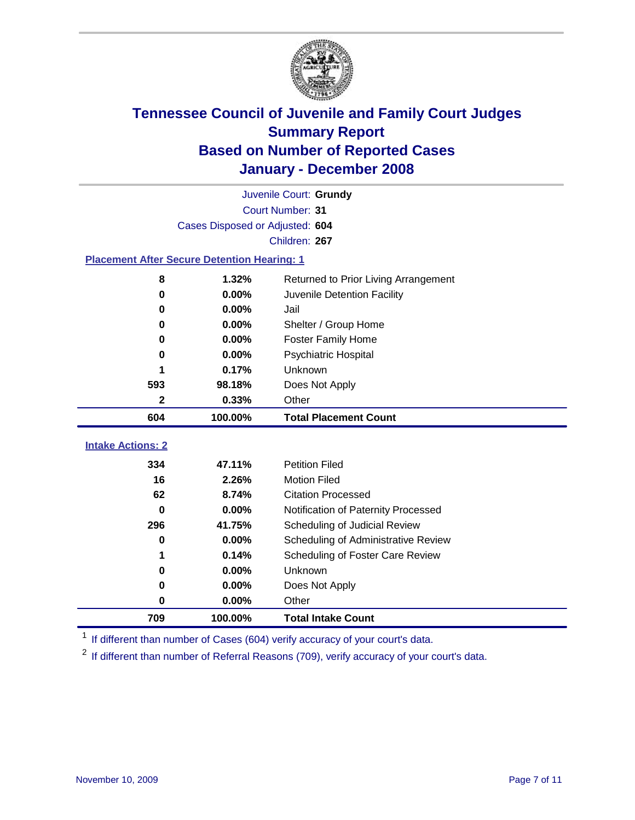

|                                                    | Juvenile Court: Grundy          |                                      |  |  |  |
|----------------------------------------------------|---------------------------------|--------------------------------------|--|--|--|
|                                                    | Court Number: 31                |                                      |  |  |  |
|                                                    | Cases Disposed or Adjusted: 604 |                                      |  |  |  |
|                                                    |                                 | Children: 267                        |  |  |  |
| <b>Placement After Secure Detention Hearing: 1</b> |                                 |                                      |  |  |  |
| 8                                                  | 1.32%                           | Returned to Prior Living Arrangement |  |  |  |
| 0                                                  | 0.00%                           | Juvenile Detention Facility          |  |  |  |
| 0                                                  | 0.00%                           | Jail                                 |  |  |  |
| 0                                                  | 0.00%                           | Shelter / Group Home                 |  |  |  |
| 0                                                  | 0.00%                           | <b>Foster Family Home</b>            |  |  |  |
| 0                                                  | 0.00%                           | Psychiatric Hospital                 |  |  |  |
| 1                                                  | 0.17%                           | Unknown                              |  |  |  |
| 593                                                | 98.18%                          | Does Not Apply                       |  |  |  |
| $\mathbf{2}$                                       | 0.33%                           | Other                                |  |  |  |
| 604                                                | 100.00%                         | <b>Total Placement Count</b>         |  |  |  |
|                                                    |                                 |                                      |  |  |  |
| <b>Intake Actions: 2</b>                           |                                 |                                      |  |  |  |
| 334                                                | 47.11%                          | <b>Petition Filed</b>                |  |  |  |
| 16                                                 | 2.26%                           | <b>Motion Filed</b>                  |  |  |  |
| 62                                                 | 8.74%                           | <b>Citation Processed</b>            |  |  |  |
| 0                                                  | 0.00%                           | Notification of Paternity Processed  |  |  |  |
| 296                                                | 41.75%                          | Scheduling of Judicial Review        |  |  |  |
| 0                                                  | 0.00%                           | Scheduling of Administrative Review  |  |  |  |
| 1                                                  | 0.14%                           | Scheduling of Foster Care Review     |  |  |  |
| 0                                                  | 0.00%                           | Unknown                              |  |  |  |
| 0                                                  | 0.00%                           | Does Not Apply                       |  |  |  |
| 0                                                  | 0.00%                           | Other                                |  |  |  |

<sup>1</sup> If different than number of Cases (604) verify accuracy of your court's data.

<sup>2</sup> If different than number of Referral Reasons (709), verify accuracy of your court's data.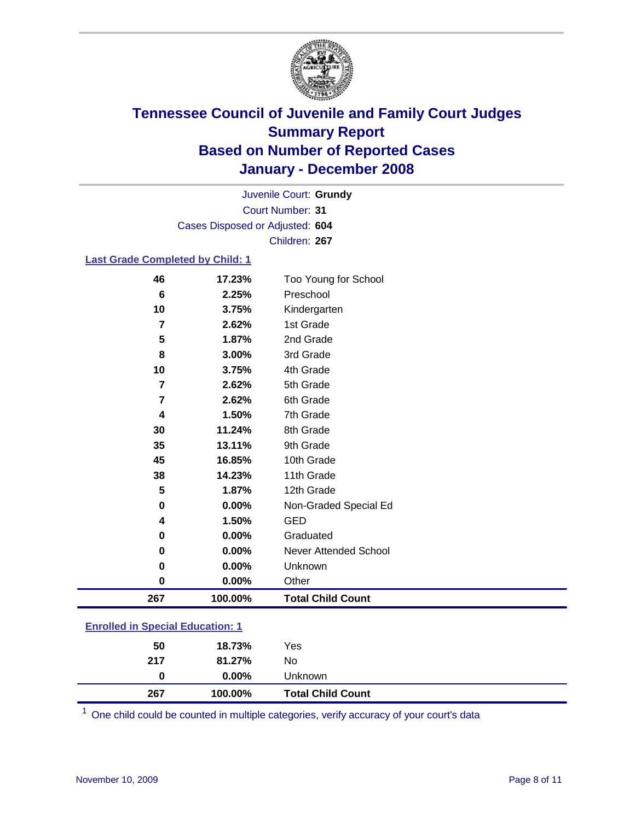

Court Number: **31** Juvenile Court: **Grundy** Cases Disposed or Adjusted: **604** Children: **267**

#### **Last Grade Completed by Child: 1**

| 267            | 100.00% | <b>Total Child Count</b>     |
|----------------|---------|------------------------------|
| 0              | 0.00%   | Other                        |
| 0              | 0.00%   | Unknown                      |
| 0              | 0.00%   | <b>Never Attended School</b> |
| 0              | 0.00%   | Graduated                    |
| 4              | 1.50%   | <b>GED</b>                   |
| 0              | 0.00%   | Non-Graded Special Ed        |
| 5              | 1.87%   | 12th Grade                   |
| 38             | 14.23%  | 11th Grade                   |
| 45             | 16.85%  | 10th Grade                   |
| 35             | 13.11%  | 9th Grade                    |
| 30             | 11.24%  | 8th Grade                    |
| 4              | 1.50%   | 7th Grade                    |
| 7              | 2.62%   | 6th Grade                    |
| 7              | 2.62%   | 5th Grade                    |
| 10             | 3.75%   | 4th Grade                    |
| 8              | 3.00%   | 3rd Grade                    |
| 5              | 1.87%   | 2nd Grade                    |
| $\overline{7}$ | 2.62%   | 1st Grade                    |
| 10             | 3.75%   | Kindergarten                 |
| 6              | 2.25%   | Preschool                    |
| 46             | 17.23%  | Too Young for School         |

### **Enrolled in Special Education: 1**

| 267 | 100.00%  | <b>Total Child Count</b> |  |
|-----|----------|--------------------------|--|
| 0   | $0.00\%$ | Unknown                  |  |
| 217 | 81.27%   | No                       |  |
| 50  | 18.73%   | Yes                      |  |
|     |          |                          |  |

<sup>1</sup> One child could be counted in multiple categories, verify accuracy of your court's data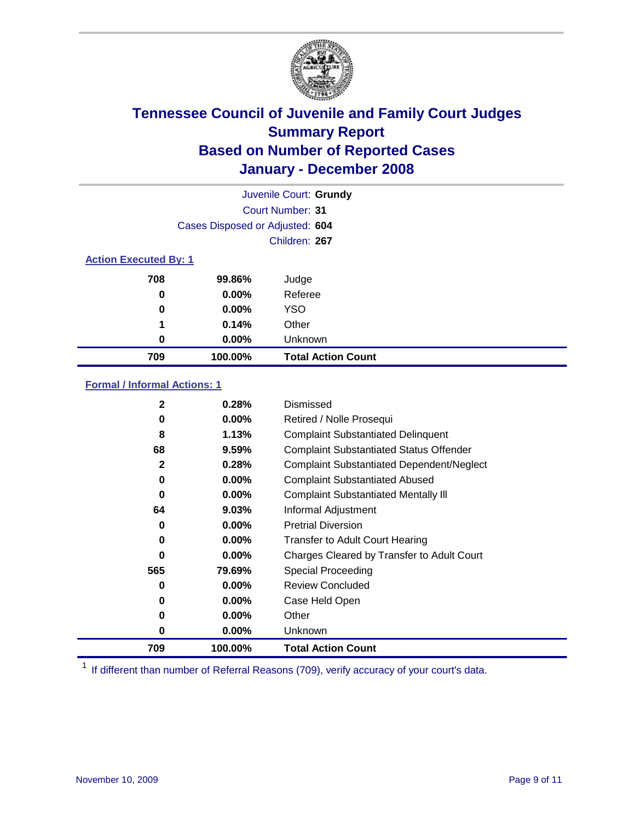

| Juvenile Court: Grundy       |                                 |                           |  |  |  |
|------------------------------|---------------------------------|---------------------------|--|--|--|
|                              | Court Number: 31                |                           |  |  |  |
|                              | Cases Disposed or Adjusted: 604 |                           |  |  |  |
|                              |                                 | Children: 267             |  |  |  |
| <b>Action Executed By: 1</b> |                                 |                           |  |  |  |
| 708                          | 99.86%                          | Judge                     |  |  |  |
| 0                            | $0.00\%$                        | Referee                   |  |  |  |
| 0                            | $0.00\%$                        | <b>YSO</b>                |  |  |  |
| 1                            | 0.14%                           | Other                     |  |  |  |
| $\bf{0}$                     | $0.00\%$                        | Unknown                   |  |  |  |
| 709                          | 100.00%                         | <b>Total Action Count</b> |  |  |  |

### **Formal / Informal Actions: 1**

| 2            | 0.28%    | Dismissed                                        |
|--------------|----------|--------------------------------------------------|
| 0            | $0.00\%$ | Retired / Nolle Prosequi                         |
| 8            | 1.13%    | <b>Complaint Substantiated Delinquent</b>        |
| 68           | 9.59%    | <b>Complaint Substantiated Status Offender</b>   |
| $\mathbf{2}$ | 0.28%    | <b>Complaint Substantiated Dependent/Neglect</b> |
| 0            | 0.00%    | <b>Complaint Substantiated Abused</b>            |
| 0            | 0.00%    | <b>Complaint Substantiated Mentally III</b>      |
| 64           | 9.03%    | Informal Adjustment                              |
| 0            | 0.00%    | <b>Pretrial Diversion</b>                        |
| 0            | 0.00%    | <b>Transfer to Adult Court Hearing</b>           |
| 0            | $0.00\%$ | Charges Cleared by Transfer to Adult Court       |
| 565          | 79.69%   | Special Proceeding                               |
| 0            | 0.00%    | <b>Review Concluded</b>                          |
| 0            | $0.00\%$ | Case Held Open                                   |
| 0            | $0.00\%$ | Other                                            |
| 0            | $0.00\%$ | Unknown                                          |
| 709          | 100.00%  | <b>Total Action Count</b>                        |

<sup>1</sup> If different than number of Referral Reasons (709), verify accuracy of your court's data.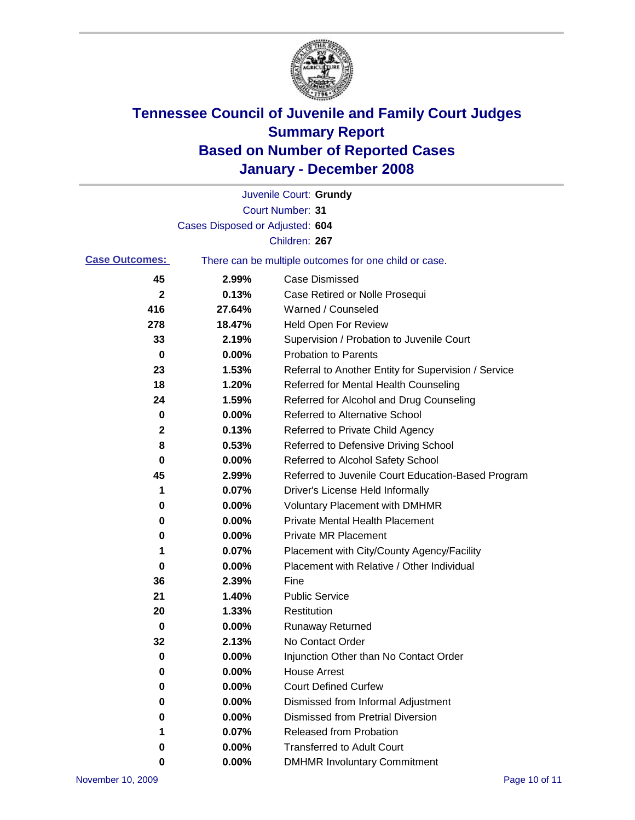

|                       |                                 | Juvenile Court: Grundy                                |
|-----------------------|---------------------------------|-------------------------------------------------------|
|                       |                                 | <b>Court Number: 31</b>                               |
|                       | Cases Disposed or Adjusted: 604 |                                                       |
|                       |                                 | Children: 267                                         |
| <b>Case Outcomes:</b> |                                 | There can be multiple outcomes for one child or case. |
| 45                    | 2.99%                           | <b>Case Dismissed</b>                                 |
| $\mathbf{2}$          | 0.13%                           | Case Retired or Nolle Prosequi                        |
| 416                   | 27.64%                          | Warned / Counseled                                    |
| 278                   | 18.47%                          | <b>Held Open For Review</b>                           |
| 33                    | 2.19%                           | Supervision / Probation to Juvenile Court             |
| 0                     | 0.00%                           | <b>Probation to Parents</b>                           |
| 23                    | 1.53%                           | Referral to Another Entity for Supervision / Service  |
| 18                    | 1.20%                           | Referred for Mental Health Counseling                 |
| 24                    | 1.59%                           | Referred for Alcohol and Drug Counseling              |
| 0                     | 0.00%                           | <b>Referred to Alternative School</b>                 |
| $\mathbf{2}$          | 0.13%                           | Referred to Private Child Agency                      |
| 8                     | 0.53%                           | Referred to Defensive Driving School                  |
| 0                     | 0.00%                           | Referred to Alcohol Safety School                     |
| 45                    | 2.99%                           | Referred to Juvenile Court Education-Based Program    |
| 1                     | 0.07%                           | Driver's License Held Informally                      |
| 0                     | 0.00%                           | <b>Voluntary Placement with DMHMR</b>                 |
| 0                     | 0.00%                           | <b>Private Mental Health Placement</b>                |
| 0                     | 0.00%                           | <b>Private MR Placement</b>                           |
| 1                     | 0.07%                           | Placement with City/County Agency/Facility            |
| 0                     | 0.00%                           | Placement with Relative / Other Individual            |
| 36                    | 2.39%                           | Fine                                                  |
| 21                    | 1.40%                           | <b>Public Service</b>                                 |
| 20                    | 1.33%                           | Restitution                                           |
| 0                     | 0.00%                           | <b>Runaway Returned</b>                               |
| 32                    | 2.13%                           | No Contact Order                                      |
| 0                     | $0.00\%$                        | Injunction Other than No Contact Order                |
| 0                     | 0.00%                           | <b>House Arrest</b>                                   |
| 0                     | 0.00%                           | <b>Court Defined Curfew</b>                           |
| 0                     | 0.00%                           | Dismissed from Informal Adjustment                    |
| 0                     | 0.00%                           | <b>Dismissed from Pretrial Diversion</b>              |
| 1                     | 0.07%                           | Released from Probation                               |
| 0                     | 0.00%                           | <b>Transferred to Adult Court</b>                     |
| 0                     | 0.00%                           | <b>DMHMR Involuntary Commitment</b>                   |